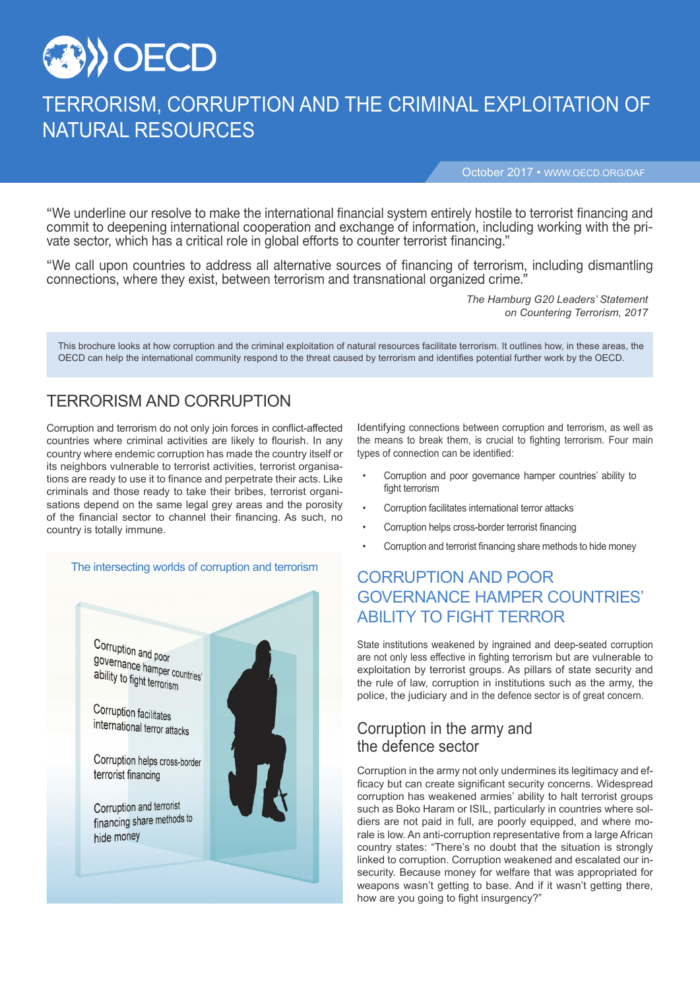

# TERRORISM, CORRUPTION AND THE CRIMINAL EXPLOITATION OF NATURAL RESOURCES

October 2017 • WWW.OECD.ORG/DAF

"We underline our resolve to make the international financial system entirely hostile to terrorist financing and commit to deepening international cooperation and exchange of information, including working with the private sector, which has a critical role in global efforts to counter terrorist financing."

"We call upon countries to address all alternative sources of financing of terrorism, including dismantling connections, where they exist, between terrorism and transnational organized crime."

> *The Hamburg G20 Leaders' Statement on Countering Terrorism, 2017*

This brochure looks at how corruption and the criminal exploitation of natural resources facilitate terrorism. It outlines how, in these areas, the OECD can help the international community respond to the threat caused by terrorism and identifies potential further work by the OECD.

#### TERRORISM AND CORRUPTION

Corruption and terrorism do not only join forces in conflict-affected countries where criminal activities are likely to flourish. In any country where endemic corruption has made the country itself or its neighbors vulnerable to terrorist activities, terrorist organisations are ready to use it to finance and perpetrate their acts. Like criminals and those ready to take their bribes, terrorist organisations depend on the same legal grey areas and the porosity of the financial sector to channel their financing. As such, no country is totally immune.

#### The intersecting worlds of corruption and terrorism



Identifying connections between corruption and terrorism, as well as the means to break them, is crucial to fighting terrorism. Four main types of connection can be identified:

- Corruption and poor governance hamper countries' ability to fight terrorism
- Corruption facilitates international terror attacks
- Corruption helps cross-border terrorist financing
- Corruption and terrorist financing share methods to hide money

### CORRUPTION AND POOR GOVERNANCE HAMPER COUNTRIES' ABILITY TO FIGHT TERROR

State institutions weakened by ingrained and deep-seated corruption are not only less effective in fighting terrorism but are vulnerable to exploitation by terrorist groups. As pillars of state security and the rule of law, corruption in institutions such as the army, the police, the judiciary and in the defence sector is of great concern.

#### Corruption in the army and the defence sector

Corruption in the army not only undermines its legitimacy and efficacy but can create significant security concerns. Widespread corruption has weakened armies' ability to halt terrorist groups such as Boko Haram or ISIL, particularly in countries where soldiers are not paid in full, are poorly equipped, and where morale is low. An anti-corruption representative from a large African country states: "There's no doubt that the situation is strongly linked to corruption. Corruption weakened and escalated our insecurity. Because money for welfare that was appropriated for weapons wasn't getting to base. And if it wasn't getting there, how are you going to fight insurgency?"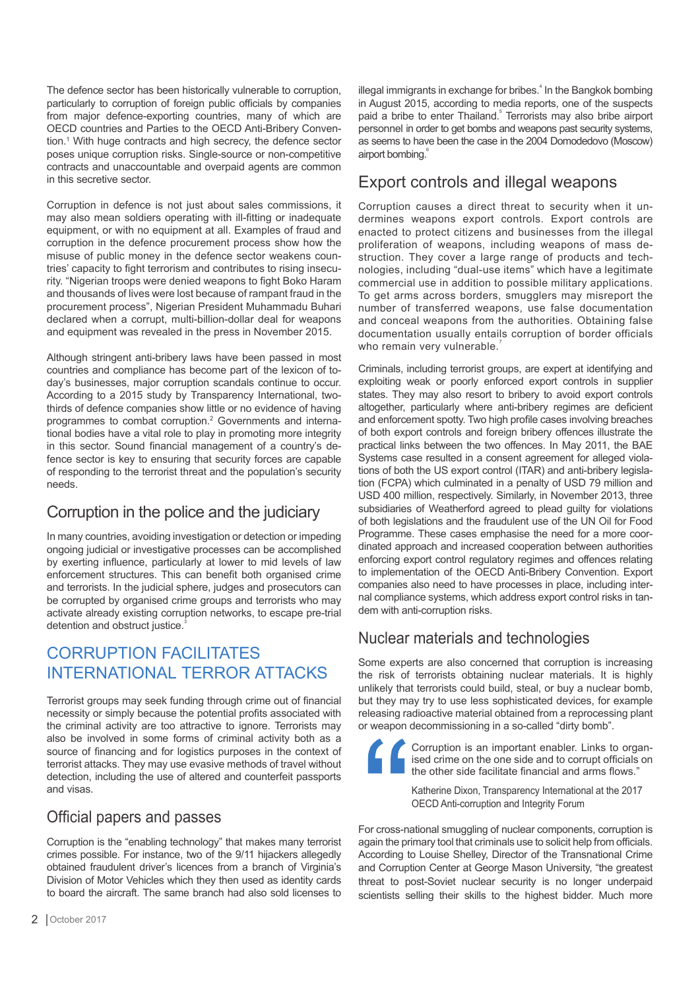The defence sector has been historically vulnerable to corruption, particularly to corruption of foreign public officials by companies from major defence-exporting countries, many of which are OECD countries and Parties to the OECD Anti-Bribery Convention.1 With huge contracts and high secrecy, the defence sector poses unique corruption risks. Single-source or non-competitive contracts and unaccountable and overpaid agents are common in this secretive sector.

Corruption in defence is not just about sales commissions, it may also mean soldiers operating with ill-fitting or inadequate equipment, or with no equipment at all. Examples of fraud and corruption in the defence procurement process show how the misuse of public money in the defence sector weakens countries' capacity to fight terrorism and contributes to rising insecurity. "Nigerian troops were denied weapons to fight Boko Haram and thousands of lives were lost because of rampant fraud in the procurement process", Nigerian President Muhammadu Buhari declared when a corrupt, multi-billion-dollar deal for weapons and equipment was revealed in the press in November 2015.

Although stringent anti-bribery laws have been passed in most countries and compliance has become part of the lexicon of today's businesses, major corruption scandals continue to occur. According to a 2015 study by Transparency International, twothirds of defence companies show little or no evidence of having programmes to combat corruption.<sup>2</sup> Governments and international bodies have a vital role to play in promoting more integrity in this sector. Sound financial management of a country's defence sector is key to ensuring that security forces are capable of responding to the terrorist threat and the population's security needs.

## Corruption in the police and the judiciary

In many countries, avoiding investigation or detection or impeding ongoing judicial or investigative processes can be accomplished by exerting influence, particularly at lower to mid levels of law enforcement structures. This can benefit both organised crime and terrorists. In the judicial sphere, judges and prosecutors can be corrupted by organised crime groups and terrorists who may activate already existing corruption networks, to escape pre-trial detention and obstruct justice.

## CORRUPTION FACILITATES INTERNATIONAL TERROR ATTACKS

Terrorist groups may seek funding through crime out of financial necessity or simply because the potential profits associated with the criminal activity are too attractive to ignore. Terrorists may also be involved in some forms of criminal activity both as a source of financing and for logistics purposes in the context of terrorist attacks. They may use evasive methods of travel without detection, including the use of altered and counterfeit passports and visas.

### Official papers and passes

Corruption is the "enabling technology" that makes many terrorist crimes possible. For instance, two of the 9/11 hijackers allegedly obtained fraudulent driver's licences from a branch of Virginia's Division of Motor Vehicles which they then used as identity cards to board the aircraft. The same branch had also sold licenses to illegal immigrants in exchange for bribes.<sup>4</sup> In the Bangkok bombing in August 2015, according to media reports, one of the suspects paid a bribe to enter Thailand.<sup>5</sup> Terrorists may also bribe airport personnel in order to get bombs and weapons past security systems, as seems to have been the case in the 2004 Domodedovo (Moscow) airport bombing.<sup>6</sup>

#### Export controls and illegal weapons

Corruption causes a direct threat to security when it undermines weapons export controls. Export controls are enacted to protect citizens and businesses from the illegal proliferation of weapons, including weapons of mass destruction. They cover a large range of products and technologies, including "dual-use items" which have a legitimate commercial use in addition to possible military applications. To get arms across borders, smugglers may misreport the number of transferred weapons, use false documentation and conceal weapons from the authorities. Obtaining false documentation usually entails corruption of border officials who remain very vulnerable.

Criminals, including terrorist groups, are expert at identifying and exploiting weak or poorly enforced export controls in supplier states. They may also resort to bribery to avoid export controls altogether, particularly where anti-bribery regimes are deficient and enforcement spotty. Two high profile cases involving breaches of both export controls and foreign bribery offences illustrate the practical links between the two offences. In May 2011, the BAE Systems case resulted in a consent agreement for alleged violations of both the US export control (ITAR) and anti-bribery legislation (FCPA) which culminated in a penalty of USD 79 million and USD 400 million, respectively. Similarly, in November 2013, three subsidiaries of Weatherford agreed to plead guilty for violations of both legislations and the fraudulent use of the UN Oil for Food Programme. These cases emphasise the need for a more coordinated approach and increased cooperation between authorities enforcing export control regulatory regimes and offences relating to implementation of the OECD Anti-Bribery Convention. Export companies also need to have processes in place, including internal compliance systems, which address export control risks in tandem with anti-corruption risks.

#### Nuclear materials and technologies

Some experts are also concerned that corruption is increasing the risk of terrorists obtaining nuclear materials. It is highly unlikely that terrorists could build, steal, or buy a nuclear bomb, but they may try to use less sophisticated devices, for example releasing radioactive material obtained from a reprocessing plant or weapon decommissioning in a so-called "dirty bomb".



Corruption is an important enabler. Links to organised crime on the one side and to corrupt officials on the other side facilitate financial and arms flows.

Katherine Dixon, Transparency International at the 2017 OECD Anti-corruption and Integrity Forum

For cross-national smuggling of nuclear components, corruption is again the primary tool that criminals use to solicit help from officials. According to Louise Shelley, Director of the Transnational Crime and Corruption Center at George Mason University, "the greatest threat to post-Soviet nuclear security is no longer underpaid scientists selling their skills to the highest bidder. Much more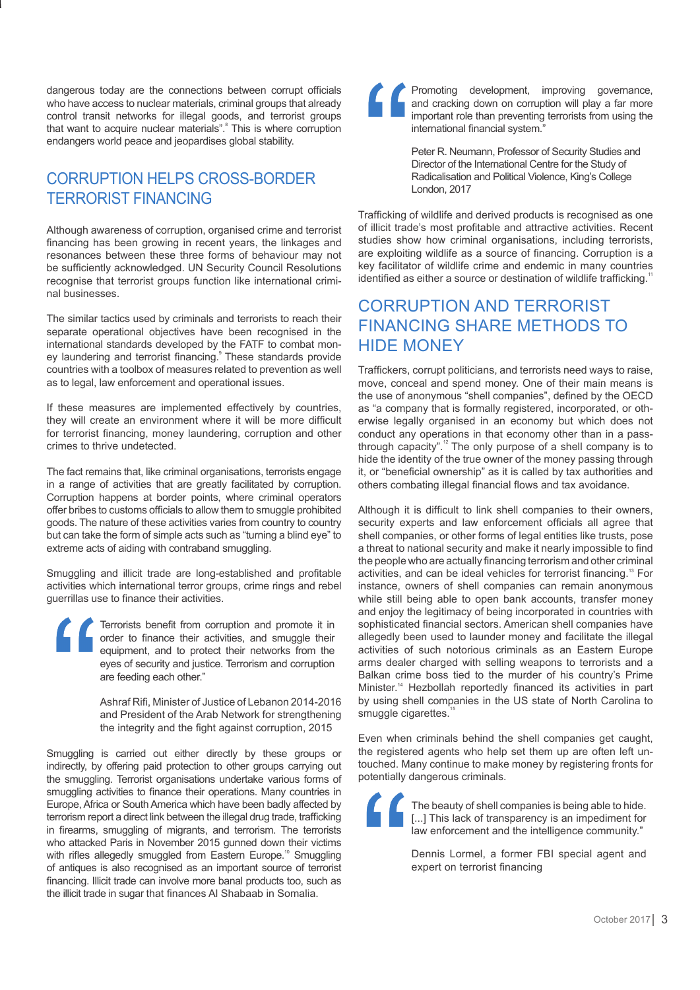dangerous today are the connections between corrupt officials who have access to nuclear materials, criminal groups that already control transit networks for illegal goods, and terrorist groups that want to acquire nuclear materials". This is where corruption endangers world peace and jeopardises global stability.

## CORRUPTION HELPS CROSS-BORDER TERRORIST FINANCING

Although awareness of corruption, organised crime and terrorist financing has been growing in recent years, the linkages and resonances between these three forms of behaviour may not be sufficiently acknowledged. UN Security Council Resolutions recognise that terrorist groups function like international criminal businesses.

The similar tactics used by criminals and terrorists to reach their separate operational objectives have been recognised in the international standards developed by the FATF to combat money laundering and terrorist financing. These standards provide countries with a toolbox of measures related to prevention as well as to legal, law enforcement and operational issues.

If these measures are implemented effectively by countries, they will create an environment where it will be more difficult for terrorist financing, money laundering, corruption and other crimes to thrive undetected.

The fact remains that, like criminal organisations, terrorists engage in a range of activities that are greatly facilitated by corruption. Corruption happens at border points, where criminal operators offer bribes to customs officials to allow them to smuggle prohibited goods. The nature of these activities varies from country to country but can take the form of simple acts such as "turning a blind eye" to extreme acts of aiding with contraband smuggling.

Smuggling and illicit trade are long-established and profitable activities which international terror groups, crime rings and rebel guerrillas use to finance their activities.

Terrorists benefit from corruption and promote it in order to finance their activities, and smuggle their equipment, and to protect their networks from the eyes of security and justice. Terrorism and corruption are feeding each other."

Ashraf Rifi, Minister of Justice of Lebanon 2014-2016 and President of the Arab Network for strengthening the integrity and the fight against corruption, 2015

Smuggling is carried out either directly by these groups or indirectly, by offering paid protection to other groups carrying out the smuggling. Terrorist organisations undertake various forms of smuggling activities to finance their operations. Many countries in Europe, Africa or South America which have been badly affected by terrorism report a direct link between the illegal drug trade, trafficking in firearms, smuggling of migrants, and terrorism. The terrorists who attacked Paris in November 2015 gunned down their victims with rifles allegedly smuggled from Eastern Europe.<sup>10</sup> Smuggling of antiques is also recognised as an important source of terrorist financing. Illicit trade can involve more banal products too, such as the illicit trade in sugar that finances Al Shabaab in Somalia.



Promoting development, improving governance, and cracking down on corruption will play a far more important role than preventing terrorists from using the international financial system."

Peter R. Neumann, Professor of Security Studies and Director of the International Centre for the Study of Radicalisation and Political Violence, King's College London, 2017

Trafficking of wildlife and derived products is recognised as one of illicit trade's most profitable and attractive activities. Recent studies show how criminal organisations, including terrorists, are exploiting wildlife as a source of financing. Corruption is a key facilitator of wildlife crime and endemic in many countries identified as either a source or destination of wildlife trafficking.<sup>1</sup>

### CORRUPTION AND TERRORIST FINANCING SHARE METHODS TO HIDE MONEY

Traffickers, corrupt politicians, and terrorists need ways to raise, move, conceal and spend money. One of their main means is the use of anonymous "shell companies", defined by the OECD as "a company that is formally registered, incorporated, or otherwise legally organised in an economy but which does not conduct any operations in that economy other than in a passthrough capacity".<sup>12</sup> The only purpose of a shell company is to hide the identity of the true owner of the money passing through it, or "beneficial ownership" as it is called by tax authorities and others combating illegal financial flows and tax avoidance.

Although it is difficult to link shell companies to their owners, security experts and law enforcement officials all agree that shell companies, or other forms of legal entities like trusts, pose a threat to national security and make it nearly impossible to find the people who are actually financing terrorism and other criminal activities, and can be ideal vehicles for terrorist financing.<sup>13</sup> For instance, owners of shell companies can remain anonymous while still being able to open bank accounts, transfer money and enjoy the legitimacy of being incorporated in countries with sophisticated financial sectors. American shell companies have allegedly been used to launder money and facilitate the illegal activities of such notorious criminals as an Eastern Europe arms dealer charged with selling weapons to terrorists and a Balkan crime boss tied to the murder of his country's Prime Minister.14 Hezbollah reportedly financed its activities in part by using shell companies in the US state of North Carolina to smuggle cigarettes.<sup>1</sup>

Even when criminals behind the shell companies get caught, the registered agents who help set them up are often left untouched. Many continue to make money by registering fronts for potentially dangerous criminals.



The beauty of shell companies is being able to hide. [...] This lack of transparency is an impediment for law enforcement and the intelligence community."

Dennis Lormel, a former FBI special agent and expert on terrorist financing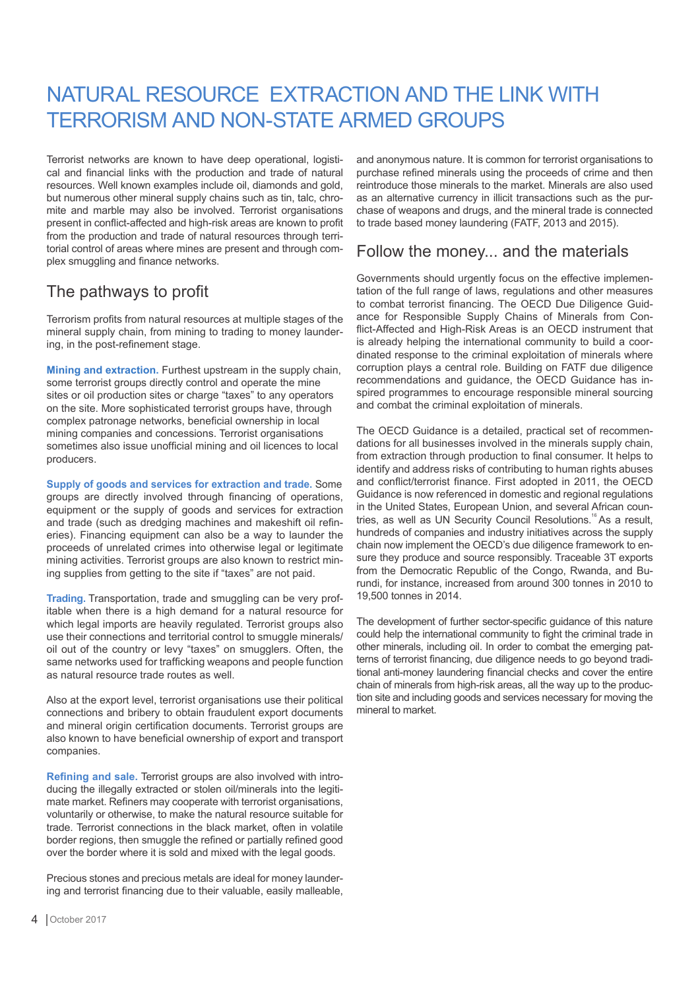## NATURAL RESOURCE EXTRACTION AND THE LINK WITH TERRORISM AND NON-STATE ARMED GROUPS

Terrorist networks are known to have deep operational, logistical and financial links with the production and trade of natural resources. Well known examples include oil, diamonds and gold, but numerous other mineral supply chains such as tin, talc, chromite and marble may also be involved. Terrorist organisations present in conflict-affected and high-risk areas are known to profit from the production and trade of natural resources through territorial control of areas where mines are present and through complex smuggling and finance networks.

## The pathways to profit

Terrorism profits from natural resources at multiple stages of the mineral supply chain, from mining to trading to money laundering, in the post-refinement stage.

**Mining and extraction.** Furthest upstream in the supply chain, some terrorist groups directly control and operate the mine sites or oil production sites or charge "taxes" to any operators on the site. More sophisticated terrorist groups have, through complex patronage networks, beneficial ownership in local mining companies and concessions. Terrorist organisations sometimes also issue unofficial mining and oil licences to local producers.

**Supply of goods and services for extraction and trade.** Some groups are directly involved through financing of operations, equipment or the supply of goods and services for extraction and trade (such as dredging machines and makeshift oil refineries). Financing equipment can also be a way to launder the proceeds of unrelated crimes into otherwise legal or legitimate mining activities. Terrorist groups are also known to restrict mining supplies from getting to the site if "taxes" are not paid.

**Trading.** Transportation, trade and smuggling can be very profitable when there is a high demand for a natural resource for which legal imports are heavily regulated. Terrorist groups also use their connections and territorial control to smuggle minerals/ oil out of the country or levy "taxes" on smugglers. Often, the same networks used for trafficking weapons and people function as natural resource trade routes as well.

Also at the export level, terrorist organisations use their political connections and bribery to obtain fraudulent export documents and mineral origin certification documents. Terrorist groups are also known to have beneficial ownership of export and transport companies.

**Refining and sale.** Terrorist groups are also involved with introducing the illegally extracted or stolen oil/minerals into the legitimate market. Refiners may cooperate with terrorist organisations, voluntarily or otherwise, to make the natural resource suitable for trade. Terrorist connections in the black market, often in volatile border regions, then smuggle the refined or partially refined good over the border where it is sold and mixed with the legal goods.

Precious stones and precious metals are ideal for money laundering and terrorist financing due to their valuable, easily malleable,

and anonymous nature. It is common for terrorist organisations to purchase refined minerals using the proceeds of crime and then reintroduce those minerals to the market. Minerals are also used as an alternative currency in illicit transactions such as the purchase of weapons and drugs, and the mineral trade is connected to trade based money laundering (FATF, 2013 and 2015).

#### Follow the money... and the materials

Governments should urgently focus on the effective implementation of the full range of laws, regulations and other measures to combat terrorist financing. The OECD Due Diligence Guidance for Responsible Supply Chains of Minerals from Conflict-Affected and High-Risk Areas is an OECD instrument that is already helping the international community to build a coordinated response to the criminal exploitation of minerals where corruption plays a central role. Building on FATF due diligence recommendations and guidance, the OECD Guidance has inspired programmes to encourage responsible mineral sourcing and combat the criminal exploitation of minerals.

The OECD Guidance is a detailed, practical set of recommendations for all businesses involved in the minerals supply chain, from extraction through production to final consumer. It helps to identify and address risks of contributing to human rights abuses and conflict/terrorist finance. First adopted in 2011, the OECD Guidance is now referenced in domestic and regional regulations in the United States, European Union, and several African countries, as well as UN Security Council Resolutions.<sup>16</sup> As a result, hundreds of companies and industry initiatives across the supply chain now implement the OECD's due diligence framework to ensure they produce and source responsibly. Traceable 3T exports from the Democratic Republic of the Congo, Rwanda, and Burundi, for instance, increased from around 300 tonnes in 2010 to 19,500 tonnes in 2014.

The development of further sector-specific guidance of this nature could help the international community to fight the criminal trade in other minerals, including oil. In order to combat the emerging patterns of terrorist financing, due diligence needs to go beyond traditional anti-money laundering financial checks and cover the entire chain of minerals from high-risk areas, all the way up to the production site and including goods and services necessary for moving the mineral to market.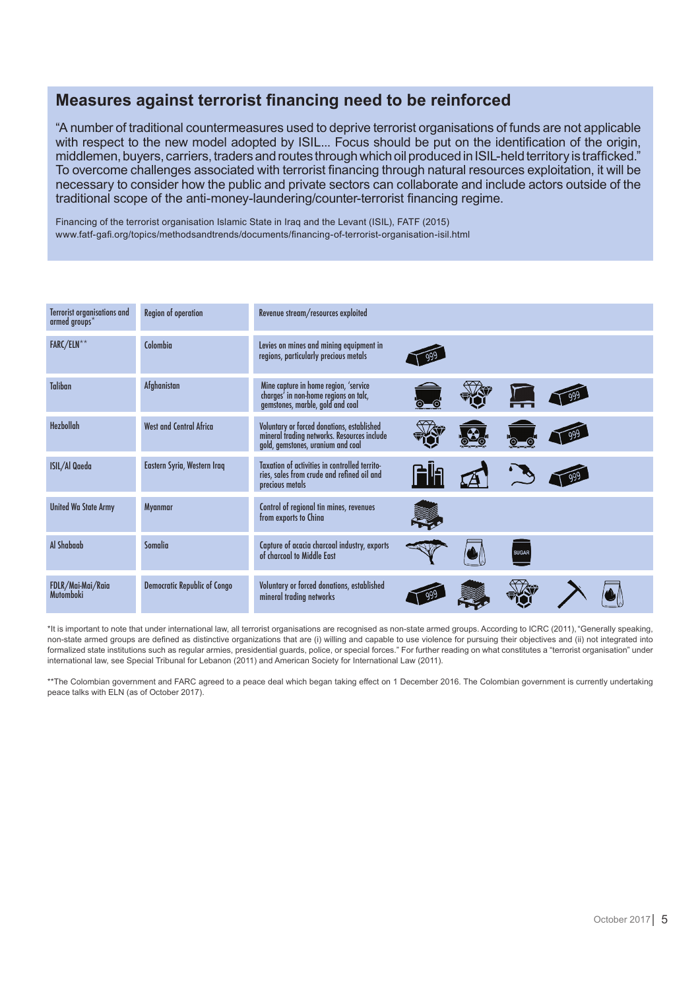#### **Measures against terrorist financing need to be reinforced**

"A number of traditional countermeasures used to deprive terrorist organisations of funds are not applicable with respect to the new model adopted by ISIL... Focus should be put on the identification of the origin, middlemen, buyers, carriers, traders and routes through which oil produced in ISIL-held territory is trafficked." To overcome challenges associated with terrorist financing through natural resources exploitation, it will be necessary to consider how the public and private sectors can collaborate and include actors outside of the traditional scope of the anti-money-laundering/counter-terrorist financing regime.

Financing of the terrorist organisation Islamic State in Iraq and the Levant (ISIL), FATF (2015) www.fatf-gafi.org/topics/methodsandtrends/documents/financing-of-terrorist-organisation-isil.html

| Terrorist organisations and<br>$armed$ groups $*$ | Region of operation                 | Revenue stream/resources exploited                                                                                             |  |              |  |
|---------------------------------------------------|-------------------------------------|--------------------------------------------------------------------------------------------------------------------------------|--|--------------|--|
| <b>FARC/ELN</b> **                                | Colombia                            | Levies on mines and mining equipment in<br>regions, particularly precious metals                                               |  |              |  |
| <b>Taliban</b>                                    | Afghanistan                         | Mine capture in home region, 'service<br>charges' in non-home regions on talc,<br>gemstones, marble, gold and coal             |  |              |  |
| Hezbollah                                         | <b>West and Central Africa</b>      | Voluntary or forced donations, established<br>mineral trading networks. Resources include<br>gold, gemstones, uranium and coal |  |              |  |
| <b>ISIL/Al Qaeda</b>                              | Eastern Syria, Western Iraq         | Taxation of activities in controlled territo-<br>ries, sales from crude and refined oil and<br>precious metals                 |  |              |  |
| <b>United Wa State Army</b>                       | Myanmar                             | Control of regional tin mines, revenues<br>from exports to China                                                               |  |              |  |
| Al Shabaab                                        | <b>Somalia</b>                      | Capture of acacia charcoal industry, exports<br>of charcoal to Middle East                                                     |  | <b>SUGAR</b> |  |
| FDLR/Mai-Mai/Raia<br><b>Mutomboki</b>             | <b>Democratic Republic of Congo</b> | Voluntary or forced donations, established<br>mineral trading networks                                                         |  |              |  |

\*It is important to note that under international law, all terrorist organisations are recognised as non-state armed groups. According to ICRC (2011),"Generally speaking, non-state armed groups are defined as distinctive organizations that are (i) willing and capable to use violence for pursuing their objectives and (ii) not integrated into formalized state institutions such as regular armies, presidential guards, police, or special forces." For further reading on what constitutes a "terrorist organisation" under international law, see Special Tribunal for Lebanon (2011) and American Society for International Law (2011).

\*\*The Colombian government and FARC agreed to a peace deal which began taking effect on 1 December 2016. The Colombian government is currently undertaking peace talks with ELN (as of October 2017).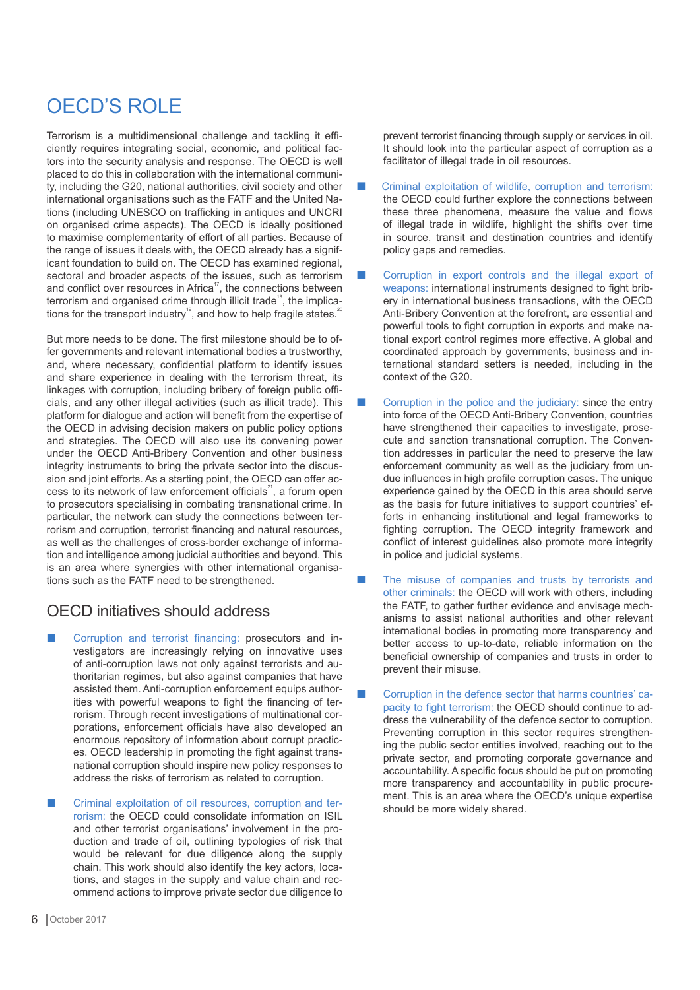## OECD'S ROLE

Terrorism is a multidimensional challenge and tackling it efficiently requires integrating social, economic, and political factors into the security analysis and response. The OECD is well placed to do this in collaboration with the international community, including the G20, national authorities, civil society and other international organisations such as the FATF and the United Nations (including UNESCO on trafficking in antiques and UNCRI on organised crime aspects). The OECD is ideally positioned to maximise complementarity of effort of all parties. Because of the range of issues it deals with, the OECD already has a significant foundation to build on. The OECD has examined regional, sectoral and broader aspects of the issues, such as terrorism and conflict over resources in Africa<sup>17</sup>, the connections between terrorism and organised crime through illicit trade<sup>18</sup>, the implications for the transport industry<sup>19</sup>, and how to help fragile states.<sup>2</sup>

But more needs to be done. The first milestone should be to offer governments and relevant international bodies a trustworthy, and, where necessary, confidential platform to identify issues and share experience in dealing with the terrorism threat, its linkages with corruption, including bribery of foreign public officials, and any other illegal activities (such as illicit trade). This platform for dialogue and action will benefit from the expertise of the OECD in advising decision makers on public policy options and strategies. The OECD will also use its convening power under the OECD Anti-Bribery Convention and other business integrity instruments to bring the private sector into the discussion and joint efforts. As a starting point, the OECD can offer access to its network of law enforcement officials<sup>21</sup>, a forum open to prosecutors specialising in combating transnational crime. In particular, the network can study the connections between terrorism and corruption, terrorist financing and natural resources, as well as the challenges of cross-border exchange of information and intelligence among judicial authorities and beyond. This is an area where synergies with other international organisations such as the FATF need to be strengthened.

#### OECD initiatives should address

- ¢ Corruption and terrorist financing: prosecutors and investigators are increasingly relying on innovative uses of anti-corruption laws not only against terrorists and authoritarian regimes, but also against companies that have assisted them. Anti-corruption enforcement equips authorities with powerful weapons to fight the financing of terrorism. Through recent investigations of multinational corporations, enforcement officials have also developed an enormous repository of information about corrupt practices. OECD leadership in promoting the fight against transnational corruption should inspire new policy responses to address the risks of terrorism as related to corruption.
- ¢ Criminal exploitation of oil resources, corruption and terrorism: the OECD could consolidate information on ISIL and other terrorist organisations' involvement in the production and trade of oil, outlining typologies of risk that would be relevant for due diligence along the supply chain. This work should also identify the key actors, locations, and stages in the supply and value chain and recommend actions to improve private sector due diligence to

prevent terrorist financing through supply or services in oil. It should look into the particular aspect of corruption as a facilitator of illegal trade in oil resources.

- Criminal exploitation of wildlife, corruption and terrorism: the OECD could further explore the connections between these three phenomena, measure the value and flows of illegal trade in wildlife, highlight the shifts over time in source, transit and destination countries and identify policy gaps and remedies.
- ¢ Corruption in export controls and the illegal export of weapons: international instruments designed to fight bribery in international business transactions, with the OECD Anti-Bribery Convention at the forefront, are essential and powerful tools to fight corruption in exports and make national export control regimes more effective. A global and coordinated approach by governments, business and international standard setters is needed, including in the context of the G20.
- Corruption in the police and the judiciary: since the entry into force of the OECD Anti-Bribery Convention, countries have strengthened their capacities to investigate, prosecute and sanction transnational corruption. The Convention addresses in particular the need to preserve the law enforcement community as well as the judiciary from undue influences in high profile corruption cases. The unique experience gained by the OECD in this area should serve as the basis for future initiatives to support countries' efforts in enhancing institutional and legal frameworks to fighting corruption. The OECD integrity framework and conflict of interest guidelines also promote more integrity in police and judicial systems.
- The misuse of companies and trusts by terrorists and other criminals: the OECD will work with others, including the FATF, to gather further evidence and envisage mechanisms to assist national authorities and other relevant international bodies in promoting more transparency and better access to up-to-date, reliable information on the beneficial ownership of companies and trusts in order to prevent their misuse.
- ¢ Corruption in the defence sector that harms countries' capacity to fight terrorism: the OECD should continue to address the vulnerability of the defence sector to corruption. Preventing corruption in this sector requires strengthening the public sector entities involved, reaching out to the private sector, and promoting corporate governance and accountability. A specific focus should be put on promoting more transparency and accountability in public procurement. This is an area where the OECD's unique expertise should be more widely shared.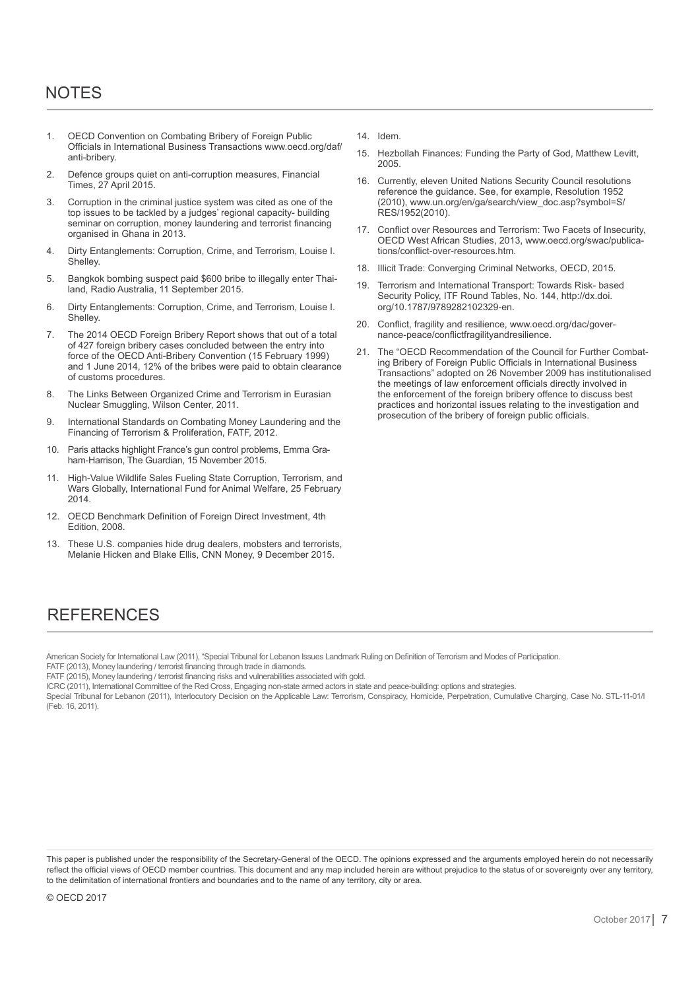## NOTES

- 1. OECD Convention on Combating Bribery of Foreign Public Officials in International Business Transactions www.oecd.org/daf/ anti-bribery.
- 2. Defence groups quiet on anti-corruption measures, Financial Times, 27 April 2015.
- 3. Corruption in the criminal justice system was cited as one of the top issues to be tackled by a judges' regional capacity- building seminar on corruption, money laundering and terrorist financing organised in Ghana in 2013.
- 4. Dirty Entanglements: Corruption, Crime, and Terrorism, Louise I. Shelley.
- 5. Bangkok bombing suspect paid \$600 bribe to illegally enter Thailand, Radio Australia, 11 September 2015.
- 6. Dirty Entanglements: Corruption, Crime, and Terrorism, Louise I. Shelley.
- 7. The 2014 OECD Foreign Bribery Report shows that out of a total of 427 foreign bribery cases concluded between the entry into force of the OECD Anti-Bribery Convention (15 February 1999) and 1 June 2014, 12% of the bribes were paid to obtain clearance of customs procedures.
- 8. The Links Between Organized Crime and Terrorism in Eurasian Nuclear Smuggling, Wilson Center, 2011.
- 9. International Standards on Combating Money Laundering and the Financing of Terrorism & Proliferation, FATF, 2012.
- 10. Paris attacks highlight France's gun control problems, Emma Graham-Harrison, The Guardian, 15 November 2015.
- 11. High-Value Wildlife Sales Fueling State Corruption, Terrorism, and Wars Globally, International Fund for Animal Welfare, 25 February 2014.
- 12. OECD Benchmark Definition of Foreign Direct Investment, 4th Edition, 2008.
- 13. These U.S. companies hide drug dealers, mobsters and terrorists, Melanie Hicken and Blake Ellis, CNN Money, 9 December 2015.

14. Idem.

- 15. Hezbollah Finances: Funding the Party of God, Matthew Levitt, 2005.
- 16. Currently, eleven United Nations Security Council resolutions reference the guidance. See, for example, Resolution 1952 (2010), www.un.org/en/ga/search/view\_doc.asp?symbol=S/ RES/1952(2010).
- 17. Conflict over Resources and Terrorism: Two Facets of Insecurity, OECD West African Studies, 2013, www.oecd.org/swac/publications/conflict-over-resources.htm.
- 18. Illicit Trade: Converging Criminal Networks, OECD, 2015.
- 19. Terrorism and International Transport: Towards Risk- based Security Policy, ITF Round Tables, No. 144, http://dx.doi. org/10.1787/9789282102329-en.
- 20. Conflict, fragility and resilience, www.oecd.org/dac/governance-peace/conflictfragilityandresilience.
- 21. The "OECD Recommendation of the Council for Further Combating Bribery of Foreign Public Officials in International Business Transactions" adopted on 26 November 2009 has institutionalised the meetings of law enforcement officials directly involved in the enforcement of the foreign bribery offence to discuss best practices and horizontal issues relating to the investigation and prosecution of the bribery of foreign public officials.

## **REFERENCES**

American Society for International Law (2011), "Special Tribunal for Lebanon Issues Landmark Ruling on Definition of Terrorism and Modes of Participation.

FATF (2013), Money laundering / terrorist financing through trade in diamonds.

FATF (2015), Money laundering / terrorist financing risks and vulnerabilities associated with gold.

ICRC (2011), International Committee of the Red Cross, Engaging non-state armed actors in state and peace-building: options and strategies.

Special Tribunal for Lebanon (2011), Interlocutory Decision on the Applicable Law: Terrorism, Conspiracy, Homicide, Perpetration, Cumulative Charging, Case No. STL-11-01/I (Feb. 16, 2011).

This paper is published under the responsibility of the Secretary-General of the OECD. The opinions expressed and the arguments employed herein do not necessarily reflect the official views of OECD member countries. This document and any map included herein are without prejudice to the status of or sovereignty over any territory, to the delimitation of international frontiers and boundaries and to the name of any territory, city or area.